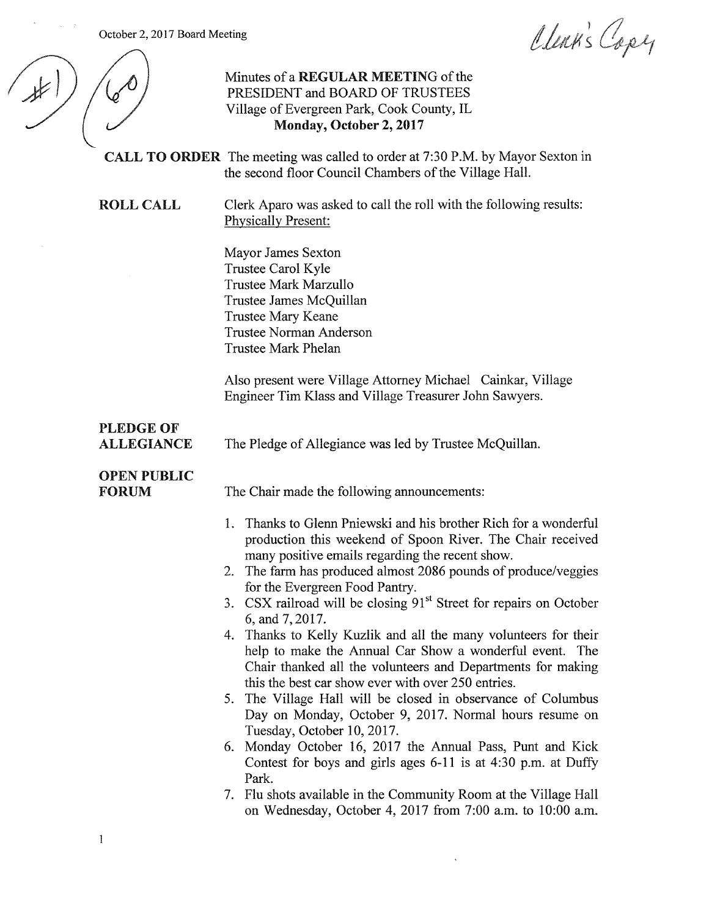October 2, 2017 Board Meeting

 $\sim$ 

 $\sim$   $\sim$   $\sim$   $\approx$ 

 $\overline{1}$ 

Clean's Capy

|                                       | المسامع المستعمل المتعاطف المسامح                                                                                                                                                                                                                                                                                                                                                                                                                                                                                                                                                                                                                                                                                                                                                                                                                                                                                                                                                                                                                                                  |
|---------------------------------------|------------------------------------------------------------------------------------------------------------------------------------------------------------------------------------------------------------------------------------------------------------------------------------------------------------------------------------------------------------------------------------------------------------------------------------------------------------------------------------------------------------------------------------------------------------------------------------------------------------------------------------------------------------------------------------------------------------------------------------------------------------------------------------------------------------------------------------------------------------------------------------------------------------------------------------------------------------------------------------------------------------------------------------------------------------------------------------|
|                                       | Minutes of a REGULAR MEETING of the<br>PRESIDENT and BOARD OF TRUSTEES<br>Village of Evergreen Park, Cook County, IL<br>Monday, October 2, 2017                                                                                                                                                                                                                                                                                                                                                                                                                                                                                                                                                                                                                                                                                                                                                                                                                                                                                                                                    |
|                                       | <b>CALL TO ORDER</b> The meeting was called to order at 7:30 P.M. by Mayor Sexton in<br>the second floor Council Chambers of the Village Hall.                                                                                                                                                                                                                                                                                                                                                                                                                                                                                                                                                                                                                                                                                                                                                                                                                                                                                                                                     |
| <b>ROLL CALL</b>                      | Clerk Aparo was asked to call the roll with the following results:<br><b>Physically Present:</b>                                                                                                                                                                                                                                                                                                                                                                                                                                                                                                                                                                                                                                                                                                                                                                                                                                                                                                                                                                                   |
|                                       | Mayor James Sexton<br>Trustee Carol Kyle<br><b>Trustee Mark Marzullo</b><br>Trustee James McQuillan<br><b>Trustee Mary Keane</b><br><b>Trustee Norman Anderson</b><br><b>Trustee Mark Phelan</b>                                                                                                                                                                                                                                                                                                                                                                                                                                                                                                                                                                                                                                                                                                                                                                                                                                                                                   |
|                                       | Also present were Village Attorney Michael Cainkar, Village<br>Engineer Tim Klass and Village Treasurer John Sawyers.                                                                                                                                                                                                                                                                                                                                                                                                                                                                                                                                                                                                                                                                                                                                                                                                                                                                                                                                                              |
| <b>PLEDGE OF</b><br><b>ALLEGIANCE</b> | The Pledge of Allegiance was led by Trustee McQuillan.                                                                                                                                                                                                                                                                                                                                                                                                                                                                                                                                                                                                                                                                                                                                                                                                                                                                                                                                                                                                                             |
| <b>OPEN PUBLIC</b><br><b>FORUM</b>    | The Chair made the following announcements:                                                                                                                                                                                                                                                                                                                                                                                                                                                                                                                                                                                                                                                                                                                                                                                                                                                                                                                                                                                                                                        |
|                                       | 1. Thanks to Glenn Pniewski and his brother Rich for a wonderful<br>production this weekend of Spoon River. The Chair received<br>many positive emails regarding the recent show.<br>2. The farm has produced almost 2086 pounds of produce/veggies<br>for the Evergreen Food Pantry.<br>3. CSX railroad will be closing 91 <sup>st</sup> Street for repairs on October<br>6, and 7, 2017.<br>4. Thanks to Kelly Kuzlik and all the many volunteers for their<br>help to make the Annual Car Show a wonderful event. The<br>Chair thanked all the volunteers and Departments for making<br>this the best car show ever with over 250 entries.<br>5. The Village Hall will be closed in observance of Columbus<br>Day on Monday, October 9, 2017. Normal hours resume on<br>Tuesday, October 10, 2017.<br>6. Monday October 16, 2017 the Annual Pass, Punt and Kick<br>Contest for boys and girls ages $6-11$ is at $4:30$ p.m. at Duffy<br>Park.<br>7. Flu shots available in the Community Room at the Village Hall<br>on Wednesday, October 4, 2017 from 7:00 a.m. to 10:00 a.m. |

 $\downarrow$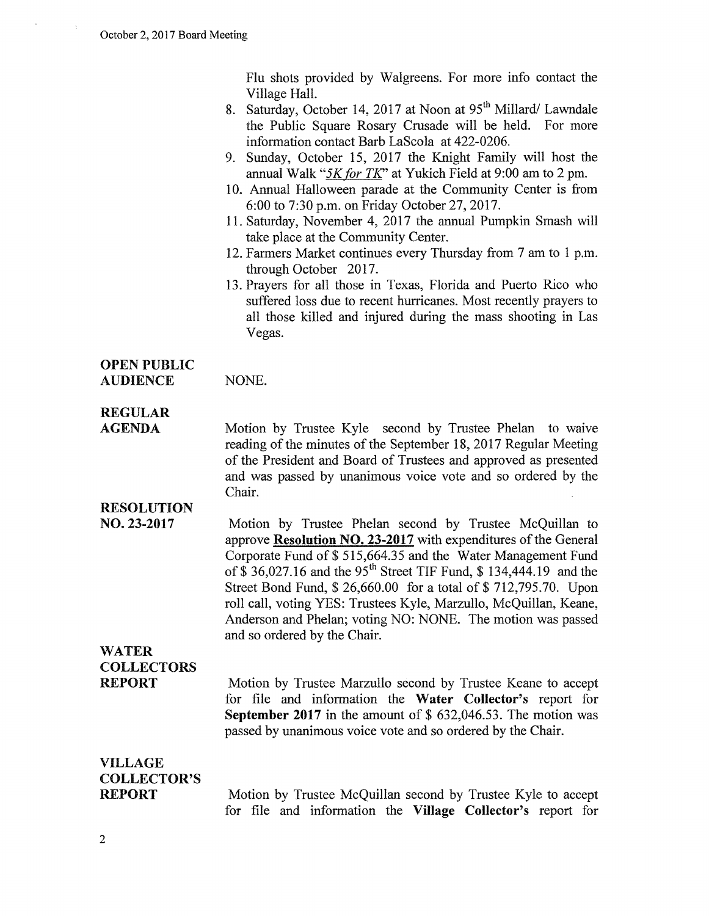Flu shots provided by Walgreens. For more info contact the Village Hall.

- 8. Saturday, October 14, 2017 at Noon at 95<sup>th</sup> Millard/ Lawndale the Public Square Rosary Crusade will be held. For more information contact Barb LaScola at 422-0206.
- 9. Sunday, October 15, 2017 the Knight Family will host the annual Walk "5K for TK" at Yukich Field at 9:00 am to 2 pm.
- 10. Annual Halloween parade at the Community Center is from 6:00 to 7:30 p.m. on Friday October 27, 2017.
- 11. Saturday, November 4, 2017 the annual Pumpkin Smash will take place at the Community Center.
- 12. Farmers Market continues every Thursday from 7 am to 1 p.m. through October 2017.
- 13. Prayers for all those in Texas, Florida and Puerto Rico who suffered loss due to recent hurricanes. Most recently prayers to all those killed and injured during the mass shooting in Las Vegas.

# OPEN PUBLIC

AUDIENCE NONE.

## REGULAR

AGENDA

Motion by Trustee Kyle second by Trustee Phelan to waive reading of the minutes of the September 18, 2017 Regular Meeting of the President and Board of Trustees and approved as presented and was passed by unanimous voice vote and so ordered by the Chair.

## RESOLUTION

NO. 23-2017 Motion by Trustee Phelan second by Trustee McQuillan to approve Resolution NO. 23-2017 with expenditures of the General Corporate Fund of\$ 515,664.35 and the Water Management Fund of  $\hat{\$}$  36,027.16 and the 95<sup>th</sup> Street TIF Fund,  $\hat{\$}$  134,444.19 and the Street Bond Fund, \$ 26,660.00 for a total of \$ 712,795.70. Upon roll call, voting YES: Trustees Kyle, Marzullo, McQuillan, Keane, Anderson and Phelan; voting NO: NONE. The motion was passed and so ordered by the Chair.

#### WATER **COLLECTORS** REPORT

Motion by Trustee Marzullo second by Trustee Keane to accept for file and information the Water Collector's report for September 2017 in the amount of  $$632,046.53$ . The motion was passed by unanimous voice vote and so ordered by the Chair.

#### VILLAGE COLLECTOR'S REPORT

Motion by Trustee McQuillan second by Trustee Kyle to accept for file and information the Village Collector's report for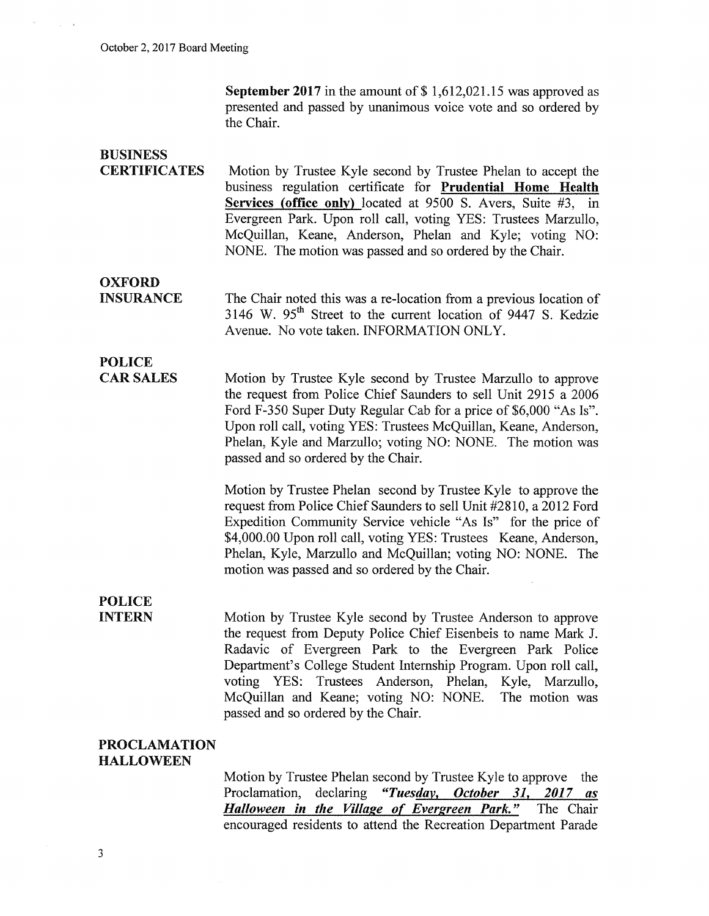September 2017 in the amount of  $$1,612,021.15$  was approved as presented and passed by unanimous voice vote and so ordered by the Chair.

# BUSINESS

**CERTIFICATES** Motion by Trustee Kyle second by Trustee Phelan to accept the business regulation certificate for Prudential Home Health Services (office only) located at 9500 S. Avers, Suite #3, in Evergreen Park. Upon roll call, voting YES: Trustees Marzullo, McQuillan, Keane, Anderson, Phelan and Kyle; voting NO: NONE. The motion was passed and so ordered by the Chair.

**OXFORD** INSURANCE

The Chair noted this was a re-location from a previous location of 3146 W. 95<sup>th</sup> Street to the current location of 9447 S. Kedzie Avenue. No vote taken. INFORMATION ONLY.

#### POLICE CAR SALES

Motion by Trustee Kyle second by Trustee Marzullo to approve the request from Police Chief Saunders to sell Unit 2915 a 2006 Ford F-350 Super Duty Regular Cab for a price of \$6,000 "As Is". Upon roll call, voting YES: Trustees McQuillan, Keane, Anderson, Phelan, Kyle and Marzullo; voting NO: NONE. The motion was passed and so ordered by the Chair.

> Motion by Trustee Phelan second by Trustee Kyle to approve the request from Police Chief Saunders to sell Unit #2810, a 2012 Ford Expedition Community Service vehicle "As Is" for the price of \$4,000.00 Upon roll call, voting YES: Trustees Keane, Anderson, Phelan, Kyle, Marzullo and McQuillan; voting NO: NONE. The motion was passed and so ordered by the Chair.

#### POLICE INTERN

Motion by Trustee Kyle second by Trustee Anderson to approve the request from Deputy Police Chief Eisenbeis to name Mark J. Radavic of Evergreen Park to the Evergreen Park Police Department's College Student Internship Program. Upon roll call, voting YES: Trustees Anderson, Phelan, Kyle, Marzullo, McQuillan and Keane; voting NO: NONE. The motion was passed and so ordered by the Chair.

#### PROCLAMATION HALLOWEEN

Motion by Trustee Phelan second by Trustee Kyle to approve the Proclamation, declaring "Tuesday, October 31, 2017 as *Halloween in the Village of Evergreen Park.*" The Chair encouraged residents to attend the Recreation Department Parade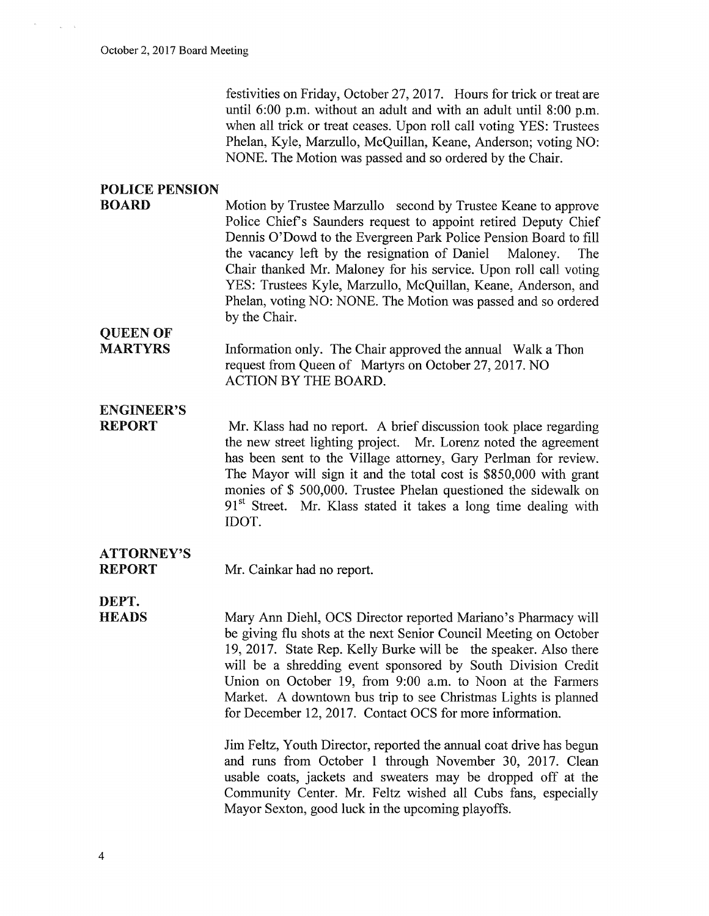festivities on Friday, October 27, 2017. Hours for trick or treat are until  $6:00$  p.m. without an adult and with an adult until  $8:00$  p.m. when all trick or treat ceases. Upon roll call voting YES: Trustees Phelan, Kyle, Marzullo, McQuillan, Keane, Anderson; voting NO: NONE. The Motion was passed and so ordered by the Chair.

### POLICE PENSION

BOARD Motion by Trustee Marzullo second by Trustee Keane to approve Police Chief's Saunders request to appoint retired Deputy Chief Dennis O'Dowd to the Evergreen Park Police Pension Board to fill the vacancy left by the resignation of Daniel Maloney. The Chair thanked Mr. Maloney for his service. Upon roll call voting YES: Trustees Kyle, Marzullo, McQuillan, Keane, Anderson, and Phelan, voting NO: NONE. The Motion was passed and so ordered by the Chair.

#### MARTYRS Information only. The Chair approved the annual Walk a Thon request from Queen of Martyrs on October 27,2017. NO ACTION BY THE BOARD.

## ENGINEER'S

QUEEN OF

REPORT Mr. Klass had no report. A brief discussion took place regarding the new street lighting project. Mr. Lorenz noted the agreement has been sent to the Village attorney, Gary Perlman for review. The Mayor will sign it and the total cost is \$850,000 with grant monies of \$ 500,000. Trustee Phelan questioned the sidewalk on  $91<sup>st</sup>$  Street. Mr. Klass stated it takes a long time dealing with IDOT.

## ATTORNEY'S

REPORT Mr. Cainkar had no report.

DEPT. **HEADS** 

Mary Ann Diehl, OCS Director reported Mariano's Pharmacy will be giving flu shots at the next Senior Council Meeting on October 19, 2017. State Rep. Kelly Burke will be the speaker. Also there will be a shredding event sponsored by South Division Credit Union on October 19, from 9:00 a.m. to Noon at the Farmers Market. A downtown bus trip to see Christmas Lights is planned for December 12, 2017. Contact OCS for more information.

Jim Feltz, Youth Director, reported the annual coat drive has begun and runs from October 1 through November 30, 2017. Clean usable coats, jackets and sweaters may be dropped off at the Community Center. Mr. Feltz wished all Cubs fans, especially Mayor Sexton, good luck in the upcoming playoffs.